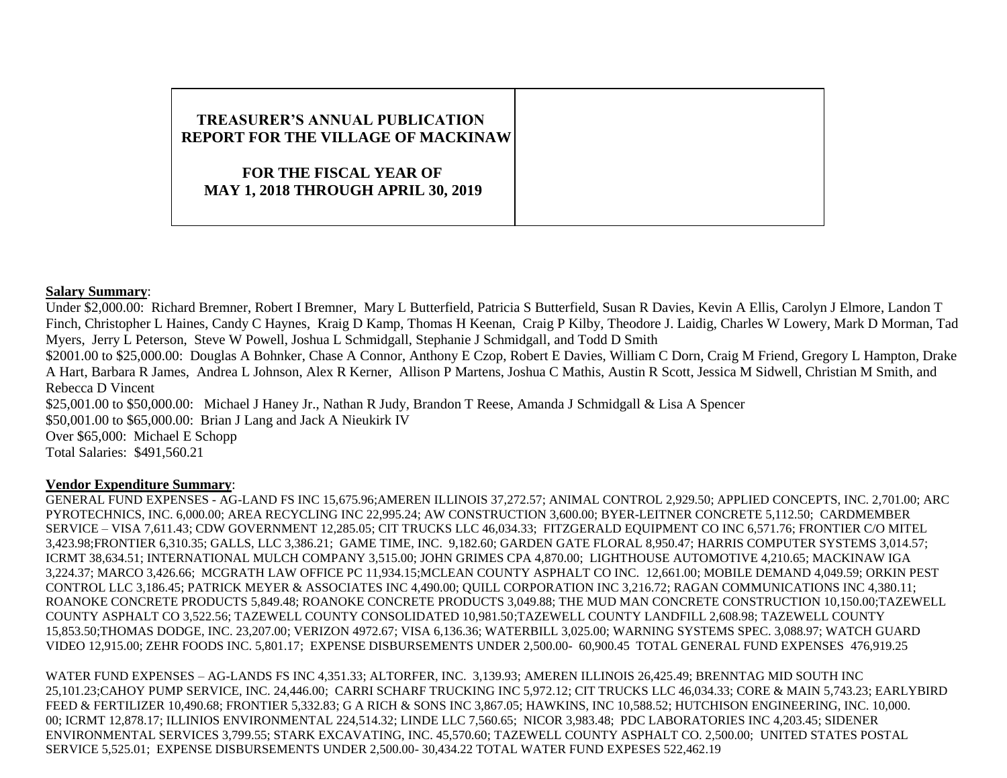## **TREASURER'S ANNUAL PUBLICATION REPORT FOR THE VILLAGE OF MACKINAW FOR THE FISCAL YEAR OF MAY 1, 2018 THROUGH APRIL 30, 2019**

## **Salary Summary**:

Under \$2,000.00: Richard Bremner, Robert I Bremner, Mary L Butterfield, Patricia S Butterfield, Susan R Davies, Kevin A Ellis, Carolyn J Elmore, Landon T Finch, Christopher L Haines, Candy C Haynes, Kraig D Kamp, Thomas H Keenan, Craig P Kilby, Theodore J. Laidig, Charles W Lowery, Mark D Morman, Tad Myers, Jerry L Peterson, Steve W Powell, Joshua L Schmidgall, Stephanie J Schmidgall, and Todd D Smith \$2001.00 to \$25,000.00: Douglas A Bohnker, Chase A Connor, Anthony E Czop, Robert E Davies, William C Dorn, Craig M Friend, Gregory L Hampton, Drake A Hart, Barbara R James, Andrea L Johnson, Alex R Kerner, Allison P Martens, Joshua C Mathis, Austin R Scott, Jessica M Sidwell, Christian M Smith, and

Rebecca D Vincent \$25,001.00 to \$50,000.00: Michael J Haney Jr., Nathan R Judy, Brandon T Reese, Amanda J Schmidgall & Lisa A Spencer

\$50,001.00 to \$65,000.00: Brian J Lang and Jack A Nieukirk IV

Over \$65,000: Michael E Schopp Total Salaries: \$491,560.21

## **Vendor Expenditure Summary**:

GENERAL FUND EXPENSES - AG-LAND FS INC 15,675.96;AMEREN ILLINOIS 37,272.57; ANIMAL CONTROL 2,929.50; APPLIED CONCEPTS, INC. 2,701.00; ARC PYROTECHNICS, INC. 6,000.00; AREA RECYCLING INC 22,995.24; AW CONSTRUCTION 3,600.00; BYER-LEITNER CONCRETE 5,112.50; CARDMEMBER SERVICE – VISA 7,611.43; CDW GOVERNMENT 12,285.05; CIT TRUCKS LLC 46,034.33; FITZGERALD EQUIPMENT CO INC 6,571.76; FRONTIER C/O MITEL 3,423.98;FRONTIER 6,310.35; GALLS, LLC 3,386.21; GAME TIME, INC. 9,182.60; GARDEN GATE FLORAL 8,950.47; HARRIS COMPUTER SYSTEMS 3,014.57; ICRMT 38,634.51; INTERNATIONAL MULCH COMPANY 3,515.00; JOHN GRIMES CPA 4,870.00; LIGHTHOUSE AUTOMOTIVE 4,210.65; MACKINAW IGA 3,224.37; MARCO 3,426.66; MCGRATH LAW OFFICE PC 11,934.15;MCLEAN COUNTY ASPHALT CO INC. 12,661.00; MOBILE DEMAND 4,049.59; ORKIN PEST CONTROL LLC 3,186.45; PATRICK MEYER & ASSOCIATES INC 4,490.00; QUILL CORPORATION INC 3,216.72; RAGAN COMMUNICATIONS INC 4,380.11; ROANOKE CONCRETE PRODUCTS 5,849.48; ROANOKE CONCRETE PRODUCTS 3,049.88; THE MUD MAN CONCRETE CONSTRUCTION 10,150.00;TAZEWELL COUNTY ASPHALT CO 3,522.56; TAZEWELL COUNTY CONSOLIDATED 10,981.50;TAZEWELL COUNTY LANDFILL 2,608.98; TAZEWELL COUNTY 15,853.50;THOMAS DODGE, INC. 23,207.00; VERIZON 4972.67; VISA 6,136.36; WATERBILL 3,025.00; WARNING SYSTEMS SPEC. 3,088.97; WATCH GUARD VIDEO 12,915.00; ZEHR FOODS INC. 5,801.17; EXPENSE DISBURSEMENTS UNDER 2,500.00- 60,900.45 TOTAL GENERAL FUND EXPENSES 476,919.25

WATER FUND EXPENSES – AG-LANDS FS INC 4,351.33; ALTORFER, INC. 3,139.93; AMEREN ILLINOIS 26,425.49; BRENNTAG MID SOUTH INC 25,101.23;CAHOY PUMP SERVICE, INC. 24,446.00; CARRI SCHARF TRUCKING INC 5,972.12; CIT TRUCKS LLC 46,034.33; CORE & MAIN 5,743.23; EARLYBIRD FEED & FERTILIZER 10,490.68; FRONTIER 5,332.83; G A RICH & SONS INC 3,867.05; HAWKINS, INC 10,588.52; HUTCHISON ENGINEERING, INC. 10,000. 00; ICRMT 12,878.17; ILLINIOS ENVIRONMENTAL 224,514.32; LINDE LLC 7,560.65; NICOR 3,983.48; PDC LABORATORIES INC 4,203.45; SIDENER ENVIRONMENTAL SERVICES 3,799.55; STARK EXCAVATING, INC. 45,570.60; TAZEWELL COUNTY ASPHALT CO. 2,500.00; UNITED STATES POSTAL SERVICE 5,525.01; EXPENSE DISBURSEMENTS UNDER 2,500.00- 30,434.22 TOTAL WATER FUND EXPESES 522,462.19